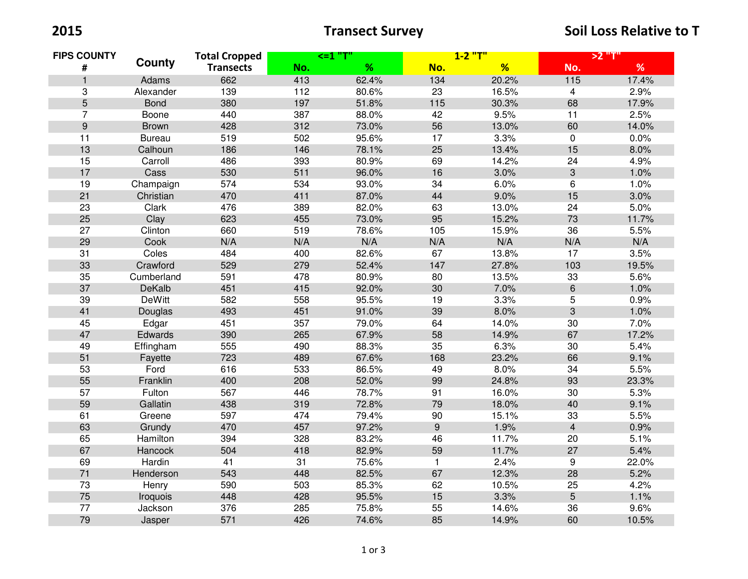2015 2015 **Transect Survey** Transect Survey Soil Loss Relative to T

| <b>FIPS COUNTY</b><br>$\#$ | County        | <b>Total Cropped</b><br><b>Transects</b> | <=1 "T' |       | $1 - 2$ "T"      |       | >2 "T"            |       |
|----------------------------|---------------|------------------------------------------|---------|-------|------------------|-------|-------------------|-------|
|                            |               |                                          | No.     | %     | No.              | %     | No.               | %     |
| $\mathbf{1}$               | Adams         | 662                                      | 413     | 62.4% | 134              | 20.2% | $\frac{115}{115}$ | 17.4% |
| 3                          | Alexander     | 139                                      | 112     | 80.6% | 23               | 16.5% | $\overline{4}$    | 2.9%  |
| 5                          | <b>Bond</b>   | 380                                      | 197     | 51.8% | 115              | 30.3% | 68                | 17.9% |
| $\overline{7}$             | Boone         | 440                                      | 387     | 88.0% | 42               | 9.5%  | 11                | 2.5%  |
| $\boldsymbol{9}$           | <b>Brown</b>  | 428                                      | 312     | 73.0% | 56               | 13.0% | 60                | 14.0% |
| 11                         | <b>Bureau</b> | 519                                      | 502     | 95.6% | 17               | 3.3%  | $\mathbf 0$       | 0.0%  |
| 13                         | Calhoun       | 186                                      | 146     | 78.1% | 25               | 13.4% | 15                | 8.0%  |
| 15                         | Carroll       | 486                                      | 393     | 80.9% | 69               | 14.2% | 24                | 4.9%  |
| 17                         | Cass          | 530                                      | 511     | 96.0% | 16               | 3.0%  | 3                 | 1.0%  |
| 19                         | Champaign     | 574                                      | 534     | 93.0% | 34               | 6.0%  | 6                 | 1.0%  |
| 21                         | Christian     | 470                                      | 411     | 87.0% | 44               | 9.0%  | 15                | 3.0%  |
| 23                         | Clark         | 476                                      | 389     | 82.0% | 63               | 13.0% | 24                | 5.0%  |
| 25                         | Clay          | 623                                      | 455     | 73.0% | 95               | 15.2% | 73                | 11.7% |
| 27                         | Clinton       | 660                                      | 519     | 78.6% | 105              | 15.9% | 36                | 5.5%  |
| 29                         | Cook          | N/A                                      | N/A     | N/A   | N/A              | N/A   | N/A               | N/A   |
| 31                         | Coles         | 484                                      | 400     | 82.6% | 67               | 13.8% | 17                | 3.5%  |
| 33                         | Crawford      | 529                                      | 279     | 52.4% | 147              | 27.8% | 103               | 19.5% |
| 35                         | Cumberland    | 591                                      | 478     | 80.9% | 80               | 13.5% | 33                | 5.6%  |
| 37                         | DeKalb        | 451                                      | 415     | 92.0% | 30               | 7.0%  | $\,6\,$           | 1.0%  |
| 39                         | <b>DeWitt</b> | 582                                      | 558     | 95.5% | 19               | 3.3%  | 5                 | 0.9%  |
| 41                         | Douglas       | 493                                      | 451     | 91.0% | 39               | 8.0%  | $\mathbf{3}$      | 1.0%  |
| 45                         | Edgar         | 451                                      | 357     | 79.0% | 64               | 14.0% | 30                | 7.0%  |
| 47                         | Edwards       | 390                                      | 265     | 67.9% | 58               | 14.9% | 67                | 17.2% |
| 49                         | Effingham     | 555                                      | 490     | 88.3% | 35               | 6.3%  | 30                | 5.4%  |
| 51                         | Fayette       | 723                                      | 489     | 67.6% | 168              | 23.2% | 66                | 9.1%  |
| 53                         | Ford          | 616                                      | 533     | 86.5% | 49               | 8.0%  | 34                | 5.5%  |
| 55                         | Franklin      | 400                                      | 208     | 52.0% | 99               | 24.8% | 93                | 23.3% |
| 57                         | Fulton        | 567                                      | 446     | 78.7% | 91               | 16.0% | 30                | 5.3%  |
| 59                         | Gallatin      | 438                                      | 319     | 72.8% | 79               | 18.0% | 40                | 9.1%  |
| 61                         | Greene        | 597                                      | 474     | 79.4% | 90               | 15.1% | 33                | 5.5%  |
| 63                         | Grundy        | 470                                      | 457     | 97.2% | $\boldsymbol{9}$ | 1.9%  | $\overline{4}$    | 0.9%  |
| 65                         | Hamilton      | 394                                      | 328     | 83.2% | 46               | 11.7% | 20                | 5.1%  |
| 67                         | Hancock       | 504                                      | 418     | 82.9% | 59               | 11.7% | 27                | 5.4%  |
| 69                         | Hardin        | 41                                       | 31      | 75.6% | $\mathbf{1}$     | 2.4%  | 9                 | 22.0% |
| 71                         | Henderson     | 543                                      | 448     | 82.5% | 67               | 12.3% | 28                | 5.2%  |
| 73                         | Henry         | 590                                      | 503     | 85.3% | 62               | 10.5% | 25                | 4.2%  |
| 75                         | Iroquois      | 448                                      | 428     | 95.5% | 15               | 3.3%  | $\overline{5}$    | 1.1%  |
| 77                         | Jackson       | 376                                      | 285     | 75.8% | 55               | 14.6% | 36                | 9.6%  |
| 79                         | Jasper        | 571                                      | 426     | 74.6% | 85               | 14.9% | 60                | 10.5% |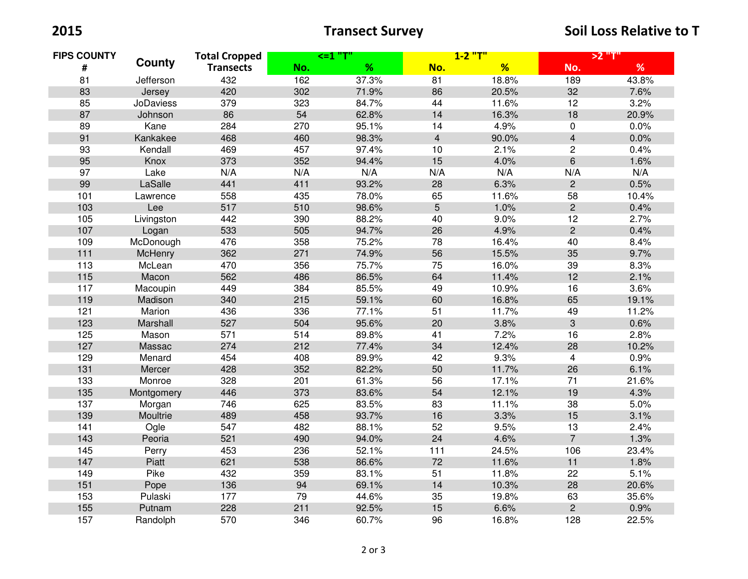2015 2015 **Transect Survey** Transect Survey Soil Loss Relative to T

| <b>FIPS COUNTY</b><br># | County           | <b>Total Cropped</b><br><b>Transects</b> | <=1 "T" |       | $1 - 2$ "T"    |       | >2 "T"              |       |
|-------------------------|------------------|------------------------------------------|---------|-------|----------------|-------|---------------------|-------|
|                         |                  |                                          | No.     | %     | No.            | %     | No.                 | %     |
| 81                      | Jefferson        | 432                                      | 162     | 37.3% | 81             | 18.8% | 189                 | 43.8% |
| 83                      | Jersey           | 420                                      | 302     | 71.9% | 86             | 20.5% | 32                  | 7.6%  |
| 85                      | <b>JoDaviess</b> | 379                                      | 323     | 84.7% | 44             | 11.6% | 12                  | 3.2%  |
| 87                      | Johnson          | 86                                       | 54      | 62.8% | 14             | 16.3% | 18                  | 20.9% |
| 89                      | Kane             | 284                                      | 270     | 95.1% | 14             | 4.9%  | $\mathsf{O}\xspace$ | 0.0%  |
| 91                      | Kankakee         | 468                                      | 460     | 98.3% | $\overline{4}$ | 90.0% | $\overline{4}$      | 0.0%  |
| 93                      | Kendall          | 469                                      | 457     | 97.4% | 10             | 2.1%  | $\overline{c}$      | 0.4%  |
| 95                      | Knox             | 373                                      | 352     | 94.4% | 15             | 4.0%  | $\,6\,$             | 1.6%  |
| 97                      | Lake             | N/A                                      | N/A     | N/A   | N/A            | N/A   | N/A                 | N/A   |
| 99                      | LaSalle          | 441                                      | 411     | 93.2% | 28             | 6.3%  | $\overline{2}$      | 0.5%  |
| 101                     | Lawrence         | 558                                      | 435     | 78.0% | 65             | 11.6% | 58                  | 10.4% |
| 103                     | Lee              | 517                                      | 510     | 98.6% | 5              | 1.0%  | $\overline{c}$      | 0.4%  |
| 105                     | Livingston       | 442                                      | 390     | 88.2% | 40             | 9.0%  | 12                  | 2.7%  |
| 107                     | Logan            | 533                                      | 505     | 94.7% | 26             | 4.9%  | $\overline{c}$      | 0.4%  |
| 109                     | McDonough        | 476                                      | 358     | 75.2% | 78             | 16.4% | 40                  | 8.4%  |
| $111$                   | McHenry          | 362                                      | 271     | 74.9% | 56             | 15.5% | 35                  | 9.7%  |
| 113                     | McLean           | 470                                      | 356     | 75.7% | 75             | 16.0% | 39                  | 8.3%  |
| 115                     | Macon            | 562                                      | 486     | 86.5% | 64             | 11.4% | 12                  | 2.1%  |
| 117                     | Macoupin         | 449                                      | 384     | 85.5% | 49             | 10.9% | 16                  | 3.6%  |
| 119                     | Madison          | 340                                      | 215     | 59.1% | 60             | 16.8% | 65                  | 19.1% |
| 121                     | Marion           | 436                                      | 336     | 77.1% | 51             | 11.7% | 49                  | 11.2% |
| 123                     | Marshall         | 527                                      | 504     | 95.6% | 20             | 3.8%  | 3                   | 0.6%  |
| 125                     | Mason            | 571                                      | 514     | 89.8% | 41             | 7.2%  | 16                  | 2.8%  |
| 127                     | Massac           | 274                                      | 212     | 77.4% | 34             | 12.4% | 28                  | 10.2% |
| 129                     | Menard           | 454                                      | 408     | 89.9% | 42             | 9.3%  | $\overline{4}$      | 0.9%  |
| 131                     | Mercer           | 428                                      | 352     | 82.2% | 50             | 11.7% | 26                  | 6.1%  |
| 133                     | Monroe           | 328                                      | 201     | 61.3% | 56             | 17.1% | 71                  | 21.6% |
| 135                     | Montgomery       | 446                                      | 373     | 83.6% | 54             | 12.1% | 19                  | 4.3%  |
| 137                     | Morgan           | 746                                      | 625     | 83.5% | 83             | 11.1% | 38                  | 5.0%  |
| 139                     | Moultrie         | 489                                      | 458     | 93.7% | 16             | 3.3%  | 15                  | 3.1%  |
| 141                     | Ogle             | 547                                      | 482     | 88.1% | 52             | 9.5%  | 13                  | 2.4%  |
| 143                     | Peoria           | 521                                      | 490     | 94.0% | 24             | 4.6%  | $\overline{7}$      | 1.3%  |
| 145                     | Perry            | 453                                      | 236     | 52.1% | 111            | 24.5% | 106                 | 23.4% |
| 147                     | Piatt            | 621                                      | 538     | 86.6% | 72             | 11.6% | 11                  | 1.8%  |
| 149                     | Pike             | 432                                      | 359     | 83.1% | 51             | 11.8% | 22                  | 5.1%  |
| 151                     | Pope             | 136                                      | 94      | 69.1% | 14             | 10.3% | 28                  | 20.6% |
| 153                     | Pulaski          | 177                                      | 79      | 44.6% | 35             | 19.8% | 63                  | 35.6% |
| 155                     | Putnam           | 228                                      | 211     | 92.5% | 15             | 6.6%  | $\overline{2}$      | 0.9%  |
| 157                     | Randolph         | 570                                      | 346     | 60.7% | 96             | 16.8% | 128                 | 22.5% |